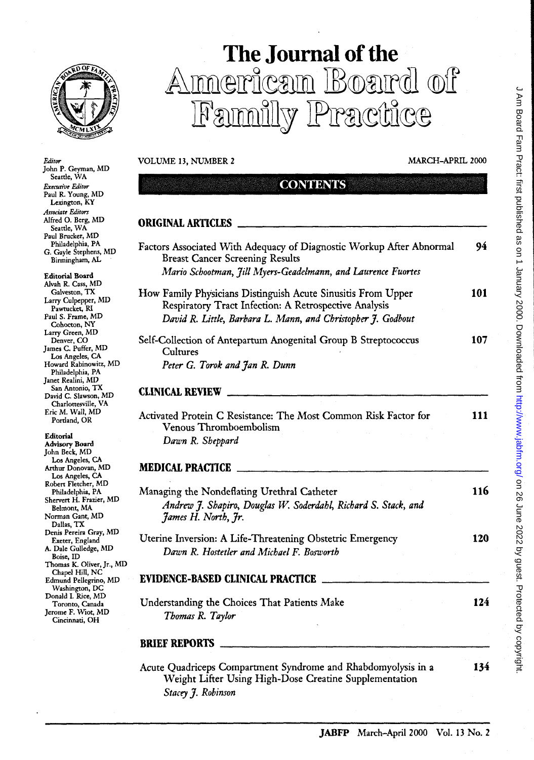

## **The Journal of the**  Ammericam Board of Family Practice

*Stacey* J. *Robinson* 

| Editor<br>John P. Geyman, MD                                 | VOLUME 13, NUMBER 2                                                                                                     | <b>MARCH-APRIL 2000</b> |  |
|--------------------------------------------------------------|-------------------------------------------------------------------------------------------------------------------------|-------------------------|--|
| Seartle, WA                                                  |                                                                                                                         |                         |  |
| Executive Editor<br>Paul R. Young, MD<br>Lexington, KY       | <b>CONTENTS</b>                                                                                                         |                         |  |
| Associate Editors<br>Alfred O. Berg, MD<br>Seattle, WA       | <b>ORIGINAL ARTICLES</b>                                                                                                |                         |  |
| Paul Brucker, MD<br>Philadelphia, PA                         |                                                                                                                         |                         |  |
| G. Gayle Stephens, MD<br>Birmingham, AL                      | Factors Associated With Adequacy of Diagnostic Workup After Abnormal<br><b>Breast Cancer Screening Results</b>          | 94                      |  |
| <b>Editorial Board</b>                                       | Mario Schootman, Jill Myers-Geadelmann, and Laurence Fuortes                                                            |                         |  |
| Alvah R. Cass, MD                                            |                                                                                                                         |                         |  |
| Galveston, TX<br>Larry Culpepper, MD                         | How Family Physicians Distinguish Acute Sinusitis From Upper                                                            | 101                     |  |
| Pawtucket, RI                                                | <b>Respiratory Tract Infection: A Retrospective Analysis</b>                                                            |                         |  |
| Paul S. Frame, MD<br>Cohocton, NY<br>Larry Green, MD         | David R. Little, Barbara L. Mann, and Christopher J. Godbout                                                            |                         |  |
| Denver, CO                                                   | Self-Collection of Antepartum Anogenital Group B Streptococcus                                                          | 107                     |  |
| James C. Puffer, MD                                          | Cultures                                                                                                                |                         |  |
| Los Angeles, CA<br>Howard Rabinowitz, MD<br>Philadelphia, PA | Peter G. Torok and Jan R. Dunn                                                                                          |                         |  |
| Janet Realini, MD<br>San Antonio, TX                         |                                                                                                                         |                         |  |
| David C. Slawson, MD<br>Charlottesville, VA                  | <b>CLINICAL REVIEW</b>                                                                                                  |                         |  |
| Eric M. Wall, MD<br>Portland, OR                             | Activated Protein C Resistance: The Most Common Risk Factor for<br>Venous Thromboembolism                               | <b>111</b>              |  |
| Editorial                                                    | Dawn R. Sheppard                                                                                                        |                         |  |
| Advisory Board<br>John Beck, MD                              |                                                                                                                         |                         |  |
| Los Angeles, CA                                              |                                                                                                                         |                         |  |
| Arthur Donovan, MD<br>Los Angeles, CA                        | <b>MEDICAL PRACTICE</b>                                                                                                 |                         |  |
| Robert Fletcher, MD                                          |                                                                                                                         |                         |  |
| Philadelphia, PA                                             | Managing the Nondeflating Urethral Catheter                                                                             | 116                     |  |
| Shervert H. Frazier, MD<br>Belmont, MA                       | Andrew J. Shapiro, Douglas W. Soderdahl, Richard S. Stack, and                                                          |                         |  |
| Norman Gant, MD                                              | James H. North, Jr.                                                                                                     |                         |  |
| Dallas, TX                                                   |                                                                                                                         |                         |  |
| Denis Pereira Gray, MD<br>Exeter, England                    | Uterine Inversion: A Life-Threatening Obstetric Emergency                                                               | 120                     |  |
| A. Dale Gulledge, MD<br>Boise, ID                            | Dawn R. Hostetler and Michael F. Bosworth                                                                               |                         |  |
| Thomas K. Oliver, Jr., MD<br>Chapel Hill, NC                 |                                                                                                                         |                         |  |
| Edmund Pellegrino, MD<br>Washington, DC                      | <b>EVIDENCE-BASED CLINICAL PRACTICE</b>                                                                                 |                         |  |
| Donald I. Rice, MD<br>Toronto, Canada                        | Understanding the Choices That Patients Make                                                                            | 124                     |  |
| Jerome F. Wiot, MD<br>Cincinnati, OH                         | Thomas R. Taylor                                                                                                        |                         |  |
|                                                              | <b>BRIEF REPORTS</b>                                                                                                    |                         |  |
|                                                              | Acute Quadriceps Compartment Syndrome and Rhabdomyolysis in a<br>Weight Lifter Using High-Dose Creatine Supplementation | 134                     |  |